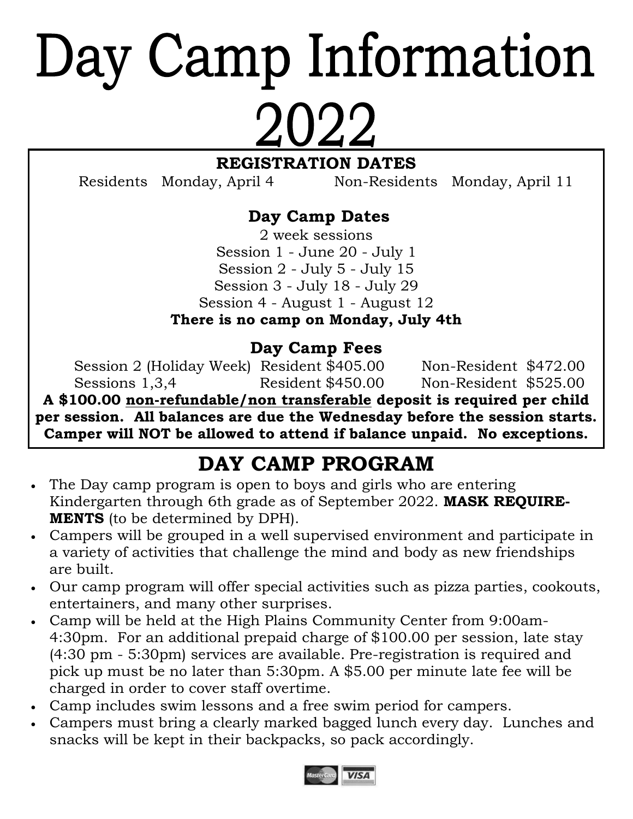# Day Camp Information 2022

### **REGISTRATION DATES**

Residents Monday, April 4 Non-Residents Monday, April 11

### **Day Camp Dates**

2 week sessions Session 1 - June 20 - July 1 Session 2 - July 5 - July 15 Session 3 - July 18 - July 29 Session 4 - August 1 - August 12 **There is no camp on Monday, July 4th**

### **Day Camp Fees**

 Session 2 (Holiday Week) Resident \$405.00 Non-Resident \$472.00 Sessions 1,3,4 Resident \$450.00 Non-Resident \$525.00

**A \$100.00 non-refundable/non transferable deposit is required per child per session. All balances are due the Wednesday before the session starts. Camper will NOT be allowed to attend if balance unpaid. No exceptions.**

### **DAY CAMP PROGRAM**

- The Day camp program is open to boys and girls who are entering Kindergarten through 6th grade as of September 2022. **MASK REQUIRE-MENTS** (to be determined by DPH).
- Campers will be grouped in a well supervised environment and participate in a variety of activities that challenge the mind and body as new friendships are built.
- Our camp program will offer special activities such as pizza parties, cookouts, entertainers, and many other surprises.
- Camp will be held at the High Plains Community Center from 9:00am-4:30pm. For an additional prepaid charge of \$100.00 per session, late stay (4:30 pm - 5:30pm) services are available. Pre-registration is required and pick up must be no later than 5:30pm. A \$5.00 per minute late fee will be charged in order to cover staff overtime.
- Camp includes swim lessons and a free swim period for campers.
- Campers must bring a clearly marked bagged lunch every day. Lunches and snacks will be kept in their backpacks, so pack accordingly.

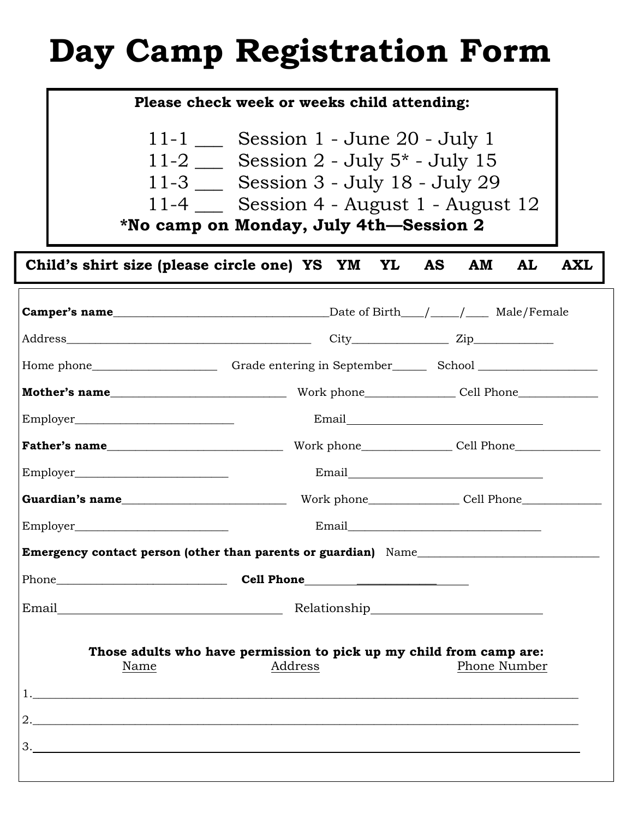## **Day Camp Registration Form**

|                                                                                                                                                                                                               | Please check week or weeks child attending:                                                          |                                |  |
|---------------------------------------------------------------------------------------------------------------------------------------------------------------------------------------------------------------|------------------------------------------------------------------------------------------------------|--------------------------------|--|
| $11-1$ Session 1 - June 20 - July 1<br>11-2 ___ Session 2 - July $5*$ - July 15<br>11-3 ____ Session 3 - July 18 - July 29<br>11-4 Session 4 - August 1 - August 12<br>*No camp on Monday, July 4th—Session 2 |                                                                                                      |                                |  |
|                                                                                                                                                                                                               | Child's shirt size (please circle one) YS YM YL AS AM                                                | <b>AXL</b><br>AL               |  |
|                                                                                                                                                                                                               | <b>Camper's name</b> Male / Female Date of Birth $\frac{1}{\sqrt{2}}$ Male / Female                  |                                |  |
|                                                                                                                                                                                                               | Home phone__________________________Grade entering in September__________School ____________________ |                                |  |
|                                                                                                                                                                                                               |                                                                                                      |                                |  |
|                                                                                                                                                                                                               |                                                                                                      |                                |  |
|                                                                                                                                                                                                               |                                                                                                      |                                |  |
|                                                                                                                                                                                                               |                                                                                                      | $\pmb{\text{Email}\_\_\_\_\_}$ |  |
|                                                                                                                                                                                                               |                                                                                                      |                                |  |
|                                                                                                                                                                                                               |                                                                                                      |                                |  |
|                                                                                                                                                                                                               |                                                                                                      |                                |  |
|                                                                                                                                                                                                               |                                                                                                      |                                |  |
|                                                                                                                                                                                                               |                                                                                                      |                                |  |
| Name                                                                                                                                                                                                          | Those adults who have permission to pick up my child from camp are:<br>Address                       | Phone Number                   |  |
|                                                                                                                                                                                                               |                                                                                                      |                                |  |
|                                                                                                                                                                                                               |                                                                                                      |                                |  |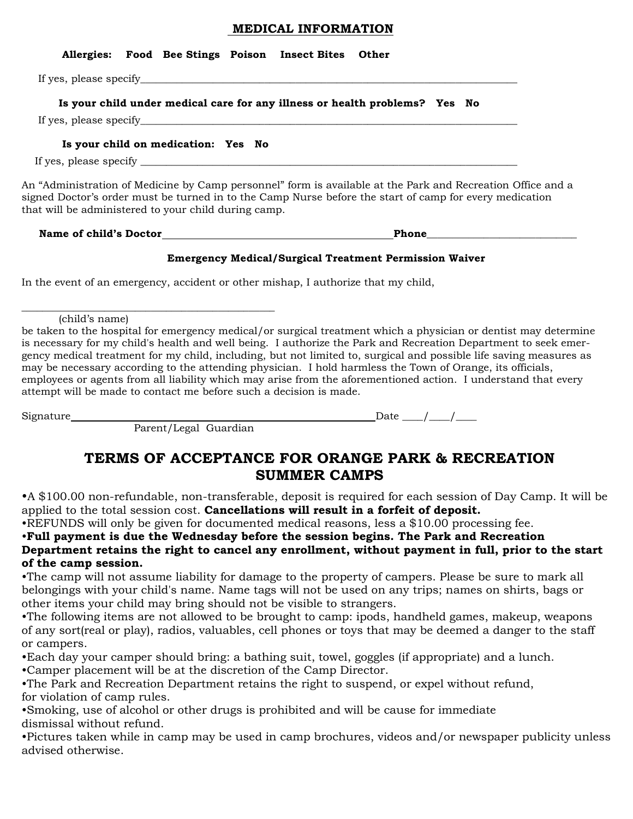#### **MEDICAL INFORMATION**

| Allergies: Food Bee Stings Poison Insect Bites Other                                                                                                                                                                                                                                                                                                                                                                                                                  |  |
|-----------------------------------------------------------------------------------------------------------------------------------------------------------------------------------------------------------------------------------------------------------------------------------------------------------------------------------------------------------------------------------------------------------------------------------------------------------------------|--|
|                                                                                                                                                                                                                                                                                                                                                                                                                                                                       |  |
| Is your child under medical care for any illness or health problems? Yes No                                                                                                                                                                                                                                                                                                                                                                                           |  |
|                                                                                                                                                                                                                                                                                                                                                                                                                                                                       |  |
| Is your child on medication: Yes No                                                                                                                                                                                                                                                                                                                                                                                                                                   |  |
|                                                                                                                                                                                                                                                                                                                                                                                                                                                                       |  |
| An "Administration of Medicine by Camp personnel" form is available at the Park and Recreation Office and a<br>signed Doctor's order must be turned in to the Camp Nurse before the start of camp for every medication<br>that will be administered to your child during camp.                                                                                                                                                                                        |  |
| Phone Manuscripture and the set of the set of the set of the set of the set of the set of the set of the set of the set of the set of the set of the set of the set of the set of the set of the set of the set of the set of                                                                                                                                                                                                                                         |  |
| <b>Emergency Medical/Surgical Treatment Permission Waiver</b>                                                                                                                                                                                                                                                                                                                                                                                                         |  |
| In the event of an emergency, accident or other mishap, I authorize that my child,                                                                                                                                                                                                                                                                                                                                                                                    |  |
| (child's name)                                                                                                                                                                                                                                                                                                                                                                                                                                                        |  |
| be taken to the hospital for emergency medical/or surgical treatment which a physician or dentist may determine<br>is necessary for my child's health and well being. I authorize the Park and Recreation Department to seek emer-<br>gency medical treatment for my child, including, but not limited to, surgical and possible life saving measures as<br>may be necessary according to the attending physician. I hold harmless the Town of Orange, its officials, |  |

employees or agents from all liability which may arise from the aforementioned action. I understand that every attempt will be made to contact me before such a decision is made.

Parent/Legal Guardian

 $Signature$  Date  $\frac{1}{2}$ 

#### **TERMS OF ACCEPTANCE FOR ORANGE PARK & RECREATION SUMMER CAMPS**

•A \$100.00 non-refundable, non-transferable, deposit is required for each session of Day Camp. It will be applied to the total session cost. **Cancellations will result in a forfeit of deposit.**

•REFUNDS will only be given for documented medical reasons, less a \$10.00 processing fee.

•**Full payment is due the Wednesday before the session begins. The Park and Recreation Department retains the right to cancel any enrollment, without payment in full, prior to the start of the camp session.**

•The camp will not assume liability for damage to the property of campers. Please be sure to mark all belongings with your child's name. Name tags will not be used on any trips; names on shirts, bags or other items your child may bring should not be visible to strangers.

•The following items are not allowed to be brought to camp: ipods, handheld games, makeup, weapons of any sort(real or play), radios, valuables, cell phones or toys that may be deemed a danger to the staff or campers.

•Each day your camper should bring: a bathing suit, towel, goggles (if appropriate) and a lunch. •Camper placement will be at the discretion of the Camp Director.

•The Park and Recreation Department retains the right to suspend, or expel without refund, for violation of camp rules.

•Smoking, use of alcohol or other drugs is prohibited and will be cause for immediate dismissal without refund.

•Pictures taken while in camp may be used in camp brochures, videos and/or newspaper publicity unless advised otherwise.